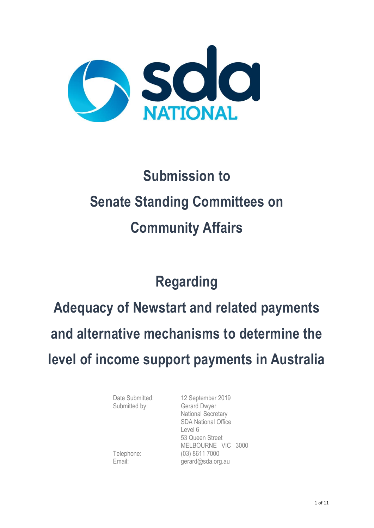

# **Submission to Senate Standing Committees on Community Affairs**

## **Regarding**

**Adequacy of Newstart and related payments and alternative mechanisms to determine the level of income support payments in Australia**

Submitted by: Gerard Dwyer

Date Submitted: 12 September 2019 National Secretary SDA National Office Level 6 53 Queen Street MELBOURNE VIC 3000 Telephone: (03) 8611 7000 Email: gerard@sda.org.au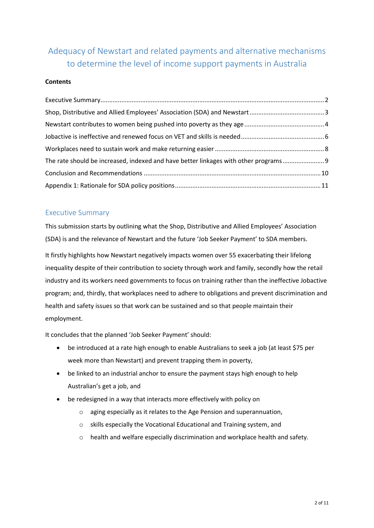### Adequacy of Newstart and related payments and alternative mechanisms to determine the level of income support payments in Australia

#### **Contents**

| The rate should be increased, indexed and have better linkages with other programs |  |
|------------------------------------------------------------------------------------|--|
|                                                                                    |  |
|                                                                                    |  |

#### <span id="page-1-0"></span>Executive Summary

This submission starts by outlining what the Shop, Distributive and Allied Employees' Association (SDA) is and the relevance of Newstart and the future 'Job Seeker Payment' to SDA members.

It firstly highlights how Newstart negatively impacts women over 55 exacerbating their lifelong inequality despite of their contribution to society through work and family, secondly how the retail industry and its workers need governments to focus on training rather than the ineffective Jobactive program; and, thirdly, that workplaces need to adhere to obligations and prevent discrimination and health and safety issues so that work can be sustained and so that people maintain their employment.

It concludes that the planned 'Job Seeker Payment' should:

- be introduced at a rate high enough to enable Australians to seek a job (at least \$75 per week more than Newstart) and prevent trapping them in poverty,
- be linked to an industrial anchor to ensure the payment stays high enough to help Australian's get a job, and
- be redesigned in a way that interacts more effectively with policy on
	- o aging especially as it relates to the Age Pension and superannuation,
	- o skills especially the Vocational Educational and Training system, and
	- o health and welfare especially discrimination and workplace health and safety.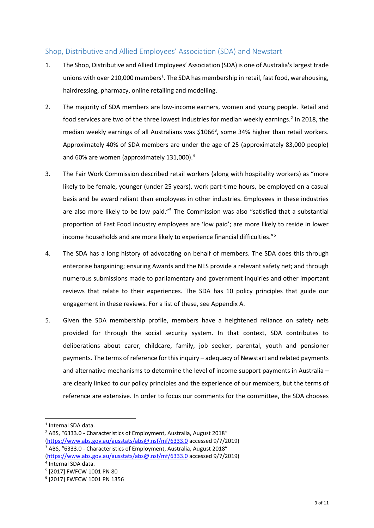#### <span id="page-2-0"></span>Shop, Distributive and Allied Employees' Association (SDA) and Newstart

- 1. The Shop, Distributive and Allied Employees' Association (SDA) is one of Australia's largest trade unions with over 210,000 members<sup>1</sup>. The SDA has membership in retail, fast food, warehousing, hairdressing, pharmacy, online retailing and modelling.
- 2. The majority of SDA members are low-income earners, women and young people. Retail and food services are two of the three lowest industries for median weekly earnings.<sup>2</sup> In 2018, the median weekly earnings of all Australians was \$1066<sup>3</sup>, some 34% higher than retail workers. Approximately 40% of SDA members are under the age of 25 (approximately 83,000 people) and 60% are women (approximately 131,000).<sup>4</sup>
- 3. The Fair Work Commission described retail workers (along with hospitality workers) as "more likely to be female, younger (under 25 years), work part-time hours, be employed on a casual basis and be award reliant than employees in other industries. Employees in these industries are also more likely to be low paid."<sup>5</sup> The Commission was also "satisfied that a substantial proportion of Fast Food industry employees are 'low paid'; are more likely to reside in lower income households and are more likely to experience financial difficulties."<sup>6</sup>
- 4. The SDA has a long history of advocating on behalf of members. The SDA does this through enterprise bargaining; ensuring Awards and the NES provide a relevant safety net; and through numerous submissions made to parliamentary and government inquiries and other important reviews that relate to their experiences. The SDA has 10 policy principles that guide our engagement in these reviews. For a list of these, see Appendix A.
- 5. Given the SDA membership profile, members have a heightened reliance on safety nets provided for through the social security system. In that context, SDA contributes to deliberations about carer, childcare, family, job seeker, parental, youth and pensioner payments. The terms of reference for this inquiry – adequacy of Newstart and related payments and alternative mechanisms to determine the level of income support payments in Australia – are clearly linked to our policy principles and the experience of our members, but the terms of reference are extensive. In order to focus our comments for the committee, the SDA chooses

1

<sup>3</sup> ABS, "6333.0 - Characteristics of Employment, Australia, August 2018"

<sup>1</sup> Internal SDA data.

<sup>2</sup> ABS, "6333.0 - Characteristics of Employment, Australia, August 2018"

[<sup>\(</sup>https://www.abs.gov.au/ausstats/abs@.nsf/mf/6333.0](https://www.abs.gov.au/ausstats/abs@.nsf/mf/6333.0) accessed 9/7/2019)

[<sup>\(</sup>https://www.abs.gov.au/ausstats/abs@.nsf/mf/6333.0](https://www.abs.gov.au/ausstats/abs@.nsf/mf/6333.0) accessed 9/7/2019)

<sup>4</sup> Internal SDA data.

<sup>5</sup> [2017] FWFCW 1001 PN 80

<sup>6</sup> [2017] FWFCW 1001 PN 1356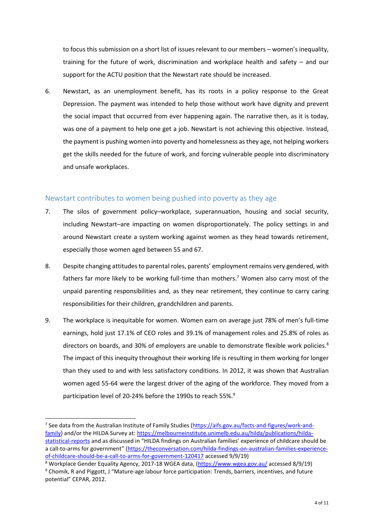to focus this submission on a short list of issues relevant to our members – women's inequality, training for the future of work, discrimination and workplace health and safety – and our support for the ACTU position that the Newstart rate should be increased.

6. Newstart, as an unemployment benefit, has its roots in a policy response to the Great Depression. The payment was intended to help those without work have dignity and prevent the social impact that occurred from ever happening again. The narrative then, as it is today, was one of a payment to help one get a job. Newstart is not achieving this objective. Instead, the payment is pushing women into poverty and homelessness as they age, not helping workers get the skills needed for the future of work, and forcing vulnerable people into discriminatory and unsafe workplaces.

#### <span id="page-3-0"></span>Newstart contributes to women being pushed into poverty as they age

- 7. The silos of government policy–workplace, superannuation, housing and social security, including Newstart–are impacting on women disproportionately. The policy settings in and around Newstart create a system working against women as they head towards retirement, especially those women aged between 55 and 67.
- 8. Despite changing attitudes to parental roles, parents' employment remains very gendered, with fathers far more likely to be working full-time than mothers.<sup>7</sup> Women also carry most of the unpaid parenting responsibilities and, as they near retirement, they continue to carry caring responsibilities for their children, grandchildren and parents.
- 9. The workplace is inequitable for women. Women earn on average just 78% of men's full-time earnings, hold just 17.1% of CEO roles and 39.1% of management roles and 25.8% of roles as directors on boards, and 30% of employers are unable to demonstrate flexible work policies.<sup>8</sup> The impact of this inequity throughout their working life is resulting in them working for longer than they used to and with less satisfactory conditions. In 2012, it was shown that Australian women aged 55-64 were the largest driver of the aging of the workforce. They moved from a participation level of 20-24% before the 1990s to reach 55%.<sup>9</sup>

1

<sup>&</sup>lt;sup>7</sup> See data from the Australian Institute of Family Studies [\(https://aifs.gov.au/facts-and-figures/work-and](https://aifs.gov.au/facts-and-figures/work-and-family)[family\)](https://aifs.gov.au/facts-and-figures/work-and-family) and/or the HILDA Survey at: [https://melbourneinstitute.unimelb.edu.au/hilda/publications/hilda](https://melbourneinstitute.unimelb.edu.au/hilda/publications/hilda-statistical-reports)[statistical-reports](https://melbourneinstitute.unimelb.edu.au/hilda/publications/hilda-statistical-reports) and as discussed in "HILDA findings on Australian families' experience of childcare should be a call-to-arms for government" ([https://theconversation.com/hilda-findings-on-australian-families-experience](https://theconversation.com/hilda-findings-on-australian-families-experience-of-childcare-should-be-a-call-to-arms-for-government-120417)[of-childcare-should-be-a-call-to-arms-for-government-120417](https://theconversation.com/hilda-findings-on-australian-families-experience-of-childcare-should-be-a-call-to-arms-for-government-120417) accessed 9/9/19)

<sup>8</sup> Workplace Gender Equality Agency, 2017-18 WGEA data, [\(https://www.wgea.gov.au/](https://www.wgea.gov.au/) accessed 8/9/19) <sup>9</sup> Chomik, R and Piggott, J "Mature-age labour force participation: Trends, barriers, incentives, and future potential" CEPAR, 2012.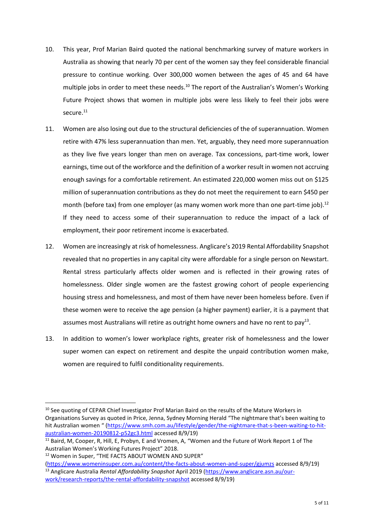- 10. This year, Prof Marian Baird quoted the national benchmarking survey of mature workers in Australia as showing that nearly 70 per cent of the women say they feel considerable financial pressure to continue working. Over 300,000 women between the ages of 45 and 64 have multiple jobs in order to meet these needs.<sup>10</sup> The report of the Australian's Women's Working Future Project shows that women in multiple jobs were less likely to feel their jobs were secure.<sup>11</sup>
- 11. Women are also losing out due to the structural deficiencies of the of superannuation. Women retire with 47% less superannuation than men. Yet, arguably, they need more superannuation as they live five years longer than men on average. Tax concessions, part-time work, lower earnings, time out of the workforce and the definition of a worker result in women not accruing enough savings for a comfortable retirement. An estimated 220,000 women miss out on \$125 million of superannuation contributions as they do not meet the requirement to earn \$450 per month (before tax) from one employer (as many women work more than one part-time job).<sup>12</sup> If they need to access some of their superannuation to reduce the impact of a lack of employment, their poor retirement income is exacerbated.
- 12. Women are increasingly at risk of homelessness. Anglicare's 2019 Rental Affordability Snapshot revealed that no properties in any capital city were affordable for a single person on Newstart. Rental stress particularly affects older women and is reflected in their growing rates of homelessness. Older single women are the fastest growing cohort of people experiencing housing stress and homelessness, and most of them have never been homeless before. Even if these women were to receive the age pension (a higher payment) earlier, it is a payment that assumes most Australians will retire as outright home owners and have no rent to pay<sup>13</sup>.
- 13. In addition to women's lower workplace rights, greater risk of homelessness and the lower super women can expect on retirement and despite the unpaid contribution women make, women are required to fulfil conditionality requirements.

**<sup>.</sup>** <sup>10</sup> See quoting of CEPAR Chief Investigator Prof Marian Baird on the results of the Mature Workers in Organisations Survey as quoted in Price, Jenna, Sydney Morning Herald "The nightmare that's been waiting to hit Australian women " ([https://www.smh.com.au/lifestyle/gender/the-nightmare-that-s-been-waiting-to-hit](https://www.smh.com.au/lifestyle/gender/the-nightmare-that-s-been-waiting-to-hit-australian-women-20190812-p52gc3.html)[australian-women-20190812-p52gc3.html](https://www.smh.com.au/lifestyle/gender/the-nightmare-that-s-been-waiting-to-hit-australian-women-20190812-p52gc3.html) accessed 8/9/19)

<sup>&</sup>lt;sup>11</sup> Baird, M, Cooper, R, Hill, E, Probyn, E and Vromen, A, "Women and the Future of Work Report 1 of The Australian Women's Working Futures Project" 2018.

<sup>&</sup>lt;sup>12</sup> Women in Super, "THE FACTS ABOUT WOMEN AND SUPER"

[<sup>\(</sup>https://www.womeninsuper.com.au/content/the-facts-about-women-and-super/gjumzs](https://www.womeninsuper.com.au/content/the-facts-about-women-and-super/gjumzs) accessed 8/9/19) <sup>13</sup> Anglicare Australia *Rental Affordability Snapshot* April 2019 [\(https://www.anglicare.asn.au/our](https://www.anglicare.asn.au/our-work/research-reports/the-rental-affordability-snapshot)[work/research-reports/the-rental-affordability-snapshot](https://www.anglicare.asn.au/our-work/research-reports/the-rental-affordability-snapshot) accessed 8/9/19)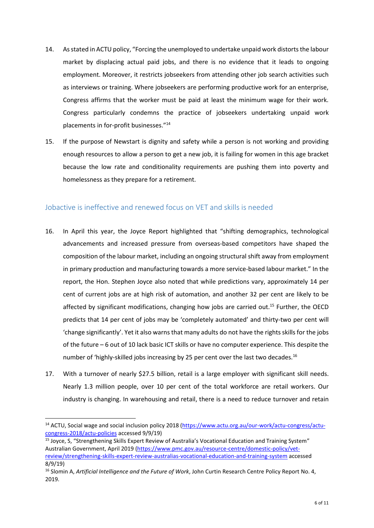- 14. As stated in ACTU policy, "Forcing the unemployed to undertake unpaid work distorts the labour market by displacing actual paid jobs, and there is no evidence that it leads to ongoing employment. Moreover, it restricts jobseekers from attending other job search activities such as interviews or training. Where jobseekers are performing productive work for an enterprise, Congress affirms that the worker must be paid at least the minimum wage for their work. Congress particularly condemns the practice of jobseekers undertaking unpaid work placements in for-profit businesses." 14
- 15. If the purpose of Newstart is dignity and safety while a person is not working and providing enough resources to allow a person to get a new job, it is failing for women in this age bracket because the low rate and conditionality requirements are pushing them into poverty and homelessness as they prepare for a retirement.

#### <span id="page-5-0"></span>Jobactive is ineffective and renewed focus on VET and skills is needed

- 16. In April this year, the Joyce Report highlighted that "shifting demographics, technological advancements and increased pressure from overseas-based competitors have shaped the composition of the labour market, including an ongoing structural shift away from employment in primary production and manufacturing towards a more service-based labour market." In the report, the Hon. Stephen Joyce also noted that while predictions vary, approximately 14 per cent of current jobs are at high risk of automation, and another 32 per cent are likely to be affected by significant modifications, changing how jobs are carried out.<sup>15</sup> Further, the OECD predicts that 14 per cent of jobs may be 'completely automated' and thirty-two per cent will 'change significantly'. Yet it also warns that many adults do not have the rights skills for the jobs of the future – 6 out of 10 lack basic ICT skills or have no computer experience. This despite the number of 'highly-skilled jobs increasing by 25 per cent over the last two decades.<sup>16</sup>
- 17. With a turnover of nearly \$27.5 billion, retail is a large employer with significant skill needs. Nearly 1.3 million people, over 10 per cent of the total workforce are retail workers. Our industry is changing. In warehousing and retail, there is a need to reduce turnover and retain

1

<sup>&</sup>lt;sup>14</sup> ACTU, Social wage and social inclusion policy 2018 [\(https://www.actu.org.au/our-work/actu-congress/actu](https://www.actu.org.au/our-work/actu-congress/actu-congress-2018/actu-policies)[congress-2018/actu-policies](https://www.actu.org.au/our-work/actu-congress/actu-congress-2018/actu-policies) accessed 9/9/19)

<sup>&</sup>lt;sup>15</sup> Joyce, S, "Strengthening Skills Expert Review of Australia's Vocational Education and Training System" Australian Government, April 2019 [\(https://www.pmc.gov.au/resource-centre/domestic-policy/vet](https://www.pmc.gov.au/resource-centre/domestic-policy/vet-review/strengthening-skills-expert-review-australias-vocational-education-and-training-system)[review/strengthening-skills-expert-review-australias-vocational-education-and-training-system](https://www.pmc.gov.au/resource-centre/domestic-policy/vet-review/strengthening-skills-expert-review-australias-vocational-education-and-training-system) accessed 8/9/19)

<sup>16</sup> Slomin A, *Artificial Intelligence and the Future of Work*, John Curtin Research Centre Policy Report No. 4, 2019.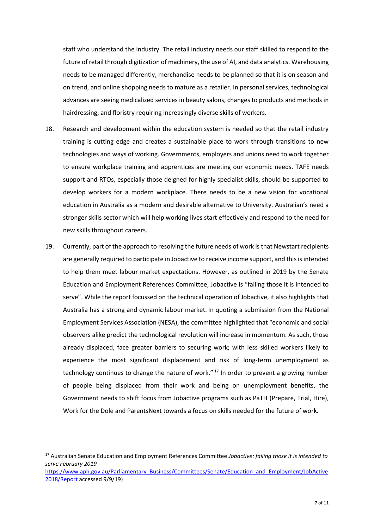staff who understand the industry. The retail industry needs our staff skilled to respond to the future of retail through digitization of machinery, the use of AI, and data analytics. Warehousing needs to be managed differently, merchandise needs to be planned so that it is on season and on trend, and online shopping needs to mature as a retailer. In personal services, technological advances are seeing medicalized services in beauty salons, changes to products and methods in hairdressing, and floristry requiring increasingly diverse skills of workers.

- 18. Research and development within the education system is needed so that the retail industry training is cutting edge and creates a sustainable place to work through transitions to new technologies and ways of working. Governments, employers and unions need to work together to ensure workplace training and apprentices are meeting our economic needs. TAFE needs support and RTOs, especially those deigned for highly specialist skills, should be supported to develop workers for a modern workplace. There needs to be a new vision for vocational education in Australia as a modern and desirable alternative to University. Australian's need a stronger skills sector which will help working lives start effectively and respond to the need for new skills throughout careers.
- 19. Currently, part of the approach to resolving the future needs of work is that Newstart recipients are generally required to participate in Jobactive to receive income support, and this is intended to help them meet labour market expectations. However, as outlined in 2019 by the Senate Education and Employment References Committee, Jobactive is "failing those it is intended to serve". While the report focussed on the technical operation of Jobactive, it also highlights that Australia has a strong and dynamic labour market. In quoting a submission from the National Employment Services Association (NESA), the committee highlighted that "economic and social observers alike predict the technological revolution will increase in momentum. As such, those already displaced, face greater barriers to securing work; with less skilled workers likely to experience the most significant displacement and risk of long-term unemployment as technology continues to change the nature of work."<sup>17</sup> In order to prevent a growing number of people being displaced from their work and being on unemployment benefits, the Government needs to shift focus from Jobactive programs such as PaTH (Prepare, Trial, Hire), Work for the Dole and ParentsNext towards a focus on skills needed for the future of work.

1

<sup>17</sup> Australian Senate Education and Employment References Committee *Jobactive: failing those it is intended to serve February 2019* [https://www.aph.gov.au/Parliamentary\\_Business/Committees/Senate/Education\\_and\\_Employment/JobActive](https://www.aph.gov.au/Parliamentary_Business/Committees/Senate/Education_and_Employment/JobActive2018/Report) [2018/Report](https://www.aph.gov.au/Parliamentary_Business/Committees/Senate/Education_and_Employment/JobActive2018/Report) accessed 9/9/19)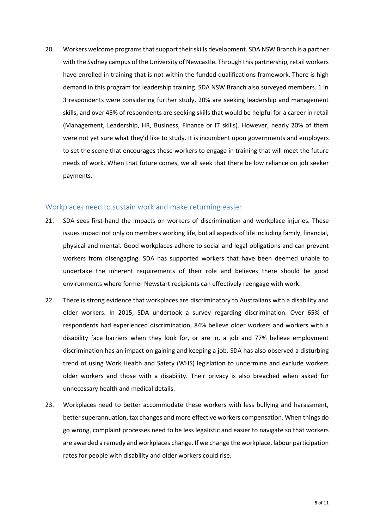20. Workers welcome programs that support their skills development. SDA NSW Branch is a partner with the Sydney campus of the University of Newcastle. Through this partnership, retail workers have enrolled in training that is not within the funded qualifications framework. There is high demand in this program for leadership training. SDA NSW Branch also surveyed members. 1 in 3 respondents were considering further study, 20% are seeking leadership and management skills, and over 45% of respondents are seeking skills that would be helpful for a career in retail (Management, Leadership, HR, Business, Finance or IT skills). However, nearly 20% of them were not yet sure what they'd like to study. It is incumbent upon governments and employers to set the scene that encourages these workers to engage in training that will meet the future needs of work. When that future comes, we all seek that there be low reliance on job seeker payments.

#### <span id="page-7-0"></span>Workplaces need to sustain work and make returning easier

- 21. SDA sees first-hand the impacts on workers of discrimination and workplace injuries. These issues impact not only on members working life, but all aspects of life including family, financial, physical and mental. Good workplaces adhere to social and legal obligations and can prevent workers from disengaging. SDA has supported workers that have been deemed unable to undertake the inherent requirements of their role and believes there should be good environments where former Newstart recipients can effectively reengage with work.
- 22. There is strong evidence that workplaces are discriminatory to Australians with a disability and older workers. In 2015, SDA undertook a survey regarding discrimination. Over 65% of respondents had experienced discrimination, 84% believe older workers and workers with a disability face barriers when they look for, or are in, a job and 77% believe employment discrimination has an impact on gaining and keeping a job. SDA has also observed a disturbing trend of using Work Health and Safety (WHS) legislation to undermine and exclude workers older workers and those with a disability. Their privacy is also breached when asked for unnecessary health and medical details.
- 23. Workplaces need to better accommodate these workers with less bullying and harassment, better superannuation, tax changes and more effective workers compensation. When things do go wrong, complaint processes need to be less legalistic and easier to navigate so that workers are awarded a remedy and workplaces change. If we change the workplace, labour participation rates for people with disability and older workers could rise.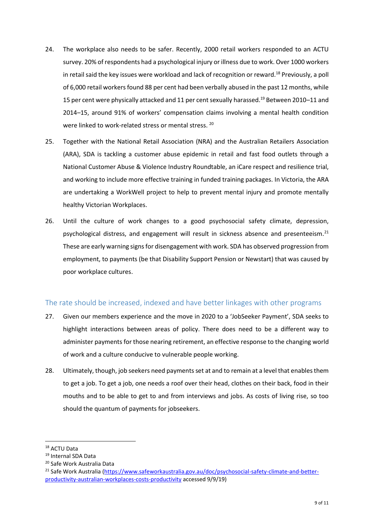- 24. The workplace also needs to be safer. Recently, 2000 retail workers responded to an ACTU survey. 20% of respondents had a psychological injury or illness due to work. Over 1000 workers in retail said the key issues were workload and lack of recognition or reward.<sup>18</sup> Previously, a poll of 6,000 retail workers found 88 per cent had been verbally abused in the past 12 months, while 15 per cent were physically attacked and 11 per cent sexually harassed.<sup>19</sup> Between 2010–11 and 2014–15, around 91% of workers' compensation claims involving a mental health condition were linked to work-related stress or mental stress. 20
- 25. Together with the National Retail Association (NRA) and the Australian Retailers Association (ARA), SDA is tackling a customer abuse epidemic in retail and fast food outlets through a National Customer Abuse & Violence Industry Roundtable, an iCare respect and resilience trial, and working to include more effective training in funded training packages. In Victoria, the ARA are undertaking a WorkWell project to help to prevent mental injury and promote mentally healthy Victorian Workplaces.
- 26. Until the culture of work changes to a good psychosocial safety climate, depression, psychological distress, and engagement will result in sickness absence and presenteeism.<sup>21</sup> These are early warning signs for disengagement with work. SDA has observed progression from employment, to payments (be that Disability Support Pension or Newstart) that was caused by poor workplace cultures.

#### <span id="page-8-0"></span>The rate should be increased, indexed and have better linkages with other programs

- 27. Given our members experience and the move in 2020 to a 'JobSeeker Payment', SDA seeks to highlight interactions between areas of policy. There does need to be a different way to administer payments for those nearing retirement, an effective response to the changing world of work and a culture conducive to vulnerable people working.
- 28. Ultimately, though, job seekers need payments set at and to remain at a level that enablesthem to get a job. To get a job, one needs a roof over their head, clothes on their back, food in their mouths and to be able to get to and from interviews and jobs. As costs of living rise, so too should the quantum of payments for jobseekers.

**.** 

<sup>18</sup> ACTU Data

<sup>19</sup> Internal SDA Data

<sup>20</sup> Safe Work Australia Data

<sup>&</sup>lt;sup>21</sup> Safe Work Australia [\(https://www.safeworkaustralia.gov.au/doc/psychosocial-safety-climate-and-better](https://www.safeworkaustralia.gov.au/doc/psychosocial-safety-climate-and-better-productivity-australian-workplaces-costs-productivity)[productivity-australian-workplaces-costs-productivity](https://www.safeworkaustralia.gov.au/doc/psychosocial-safety-climate-and-better-productivity-australian-workplaces-costs-productivity) accessed 9/9/19)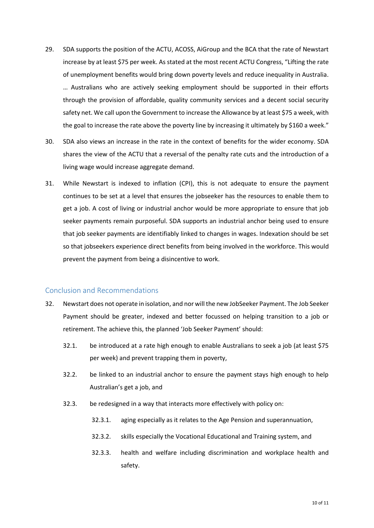- 29. SDA supports the position of the ACTU, ACOSS, AiGroup and the BCA that the rate of Newstart increase by at least \$75 per week. As stated at the most recent ACTU Congress, "Lifting the rate of unemployment benefits would bring down poverty levels and reduce inequality in Australia. … Australians who are actively seeking employment should be supported in their efforts through the provision of affordable, quality community services and a decent social security safety net. We call upon the Government to increase the Allowance by at least \$75 a week, with the goal to increase the rate above the poverty line by increasing it ultimately by \$160 a week."
- 30. SDA also views an increase in the rate in the context of benefits for the wider economy. SDA shares the view of the ACTU that a reversal of the penalty rate cuts and the introduction of a living wage would increase aggregate demand.
- 31. While Newstart is indexed to inflation (CPI), this is not adequate to ensure the payment continues to be set at a level that ensures the jobseeker has the resources to enable them to get a job. A cost of living or industrial anchor would be more appropriate to ensure that job seeker payments remain purposeful. SDA supports an industrial anchor being used to ensure that job seeker payments are identifiably linked to changes in wages. Indexation should be set so that jobseekers experience direct benefits from being involved in the workforce. This would prevent the payment from being a disincentive to work.

#### <span id="page-9-0"></span>Conclusion and Recommendations

- 32. Newstart does not operate in isolation, and nor will the new JobSeeker Payment. The Job Seeker Payment should be greater, indexed and better focussed on helping transition to a job or retirement. The achieve this, the planned 'Job Seeker Payment' should:
	- 32.1. be introduced at a rate high enough to enable Australians to seek a job (at least \$75 per week) and prevent trapping them in poverty,
	- 32.2. be linked to an industrial anchor to ensure the payment stays high enough to help Australian's get a job, and
	- 32.3. be redesigned in a way that interacts more effectively with policy on:
		- 32.3.1. aging especially as it relates to the Age Pension and superannuation,
		- 32.3.2. skills especially the Vocational Educational and Training system, and
		- 32.3.3. health and welfare including discrimination and workplace health and safety.